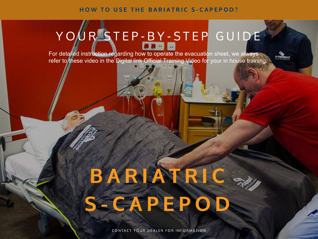HOW TO USE THE BARIATRIC S-CAPEPOD?

# Y OUR STEP-BY-STEP GUIDE

For detailed instruction regarding how to operate the evacuation sheet, we always refer to these video in the Digital link [Official Training Video](https://s-capeplus.com/en/evacuation-school/bariatric-s-capepod-video-tutorials/) for your in house training.

# BARIATRIC S - CAPEPOD

CONTACT YOUR DEALER FOR INFORMATION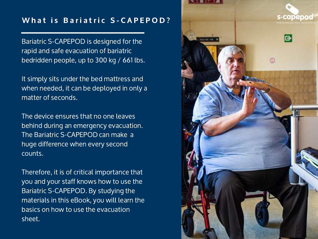# What is Bariatric S-CAPEPOD?

Bariatric S-CAPEPOD is designed for the rapid and safe evacuation of bariatric bedridden people, up to 300 kg / 661 lbs.

It simply sits under the bed mattress and when needed, it can be deployed in only a matter of seconds.

The device ensures that no one leaves behind during an emergency evacuation. The Bariatric S-CAPEPOD can make a huge difference when every second counts.

Therefore, it is of critical importance that you and your staff knows how to use the Bariatric S-CAPEPOD. By studying the materials in this eBook, you will learn the basics on how to use the evacuation sheet.

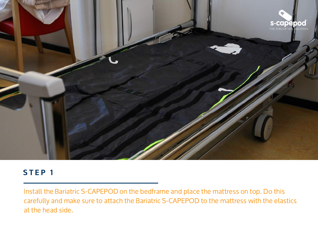

Install the Bariatric S-CAPEPOD on the bedframe and place the mattress on top. Do this carefully and make sure to attach the Bariatric [S-CAPEPOD](https://www.youtube.com/watch?v=5gWh93ci1CI&t=1s) to the mattress with the elastics at the head side.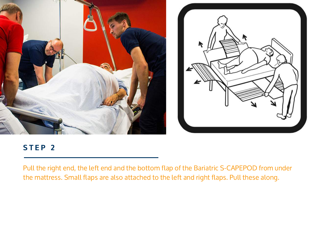



Pull the right end, the left end and the bottom flap of the Bariatric S-CAPEPOD from under the mattress. Small flaps are also attached to the left and right flaps. Pull these along.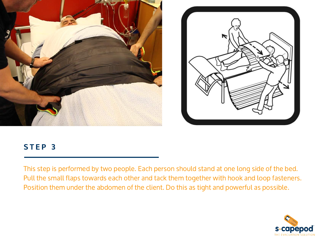



This step is performed by two people. Each person should stand at one long side of the bed. Pull the small flaps towards each other and tack them together with hook and loop fasteners. Position them under the abdomen of the client. Do this as tight and powerful as possible.

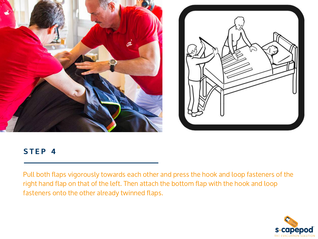



Pull both flaps vigorously towards each other and press the hook and loop fasteners of the right hand flap on that of the left. Then attach the bottom flap with the hook and loop fasteners onto the other already twinned flaps.

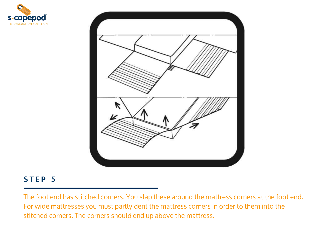



The foot end has stitched corners. You slap these around the mattress corners at the foot end. For wide mattresses you must partly dent the mattress corners in order to them into the stitched corners. The corners should end up above the mattress.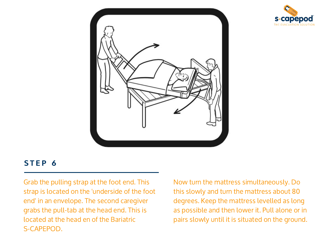



Grab the pulling strap at the foot end. This strap is located on the 'underside of the foot end' in an envelope. The second caregiver grabs the pull-tab at the head end. This is located at the head en of the Bariatric S-CAPEPOD.

Now turn the mattress simultaneously. Do this slowly and turn the mattress about 80 degrees. Keep the mattress levelled as long as possible and then lower it. Pull alone or in pairs slowly until it is situated on the ground.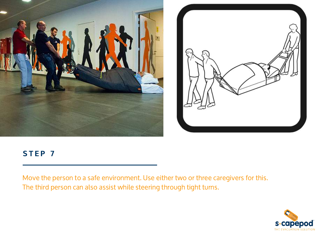



Move the person to a safe environment. Use either two or three caregivers for this. The third person can also assist while steering through tight turns.

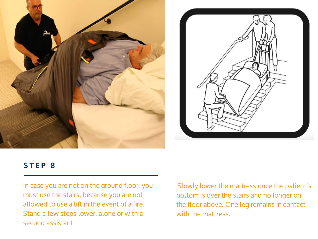



In case you are not on the ground floor, you must use the stairs, because you are not allowed to use a lift in the event of a fire. Stand a few steps lower, alone or with a second assistant.

Slowly lower the mattress once the patient's bottom is over the stairs and no longer on the floor above. One leg remains in contact with the mattress.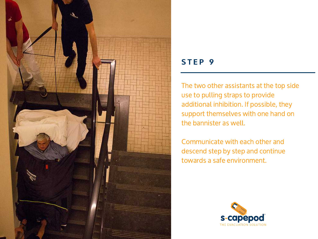

The two other assistants at the top side use to pulling straps to provide additional inhibition. If possible, they support themselves with one hand on the bannister as well.

Communicate with each other and descend step by step and continue towards a safe environment.